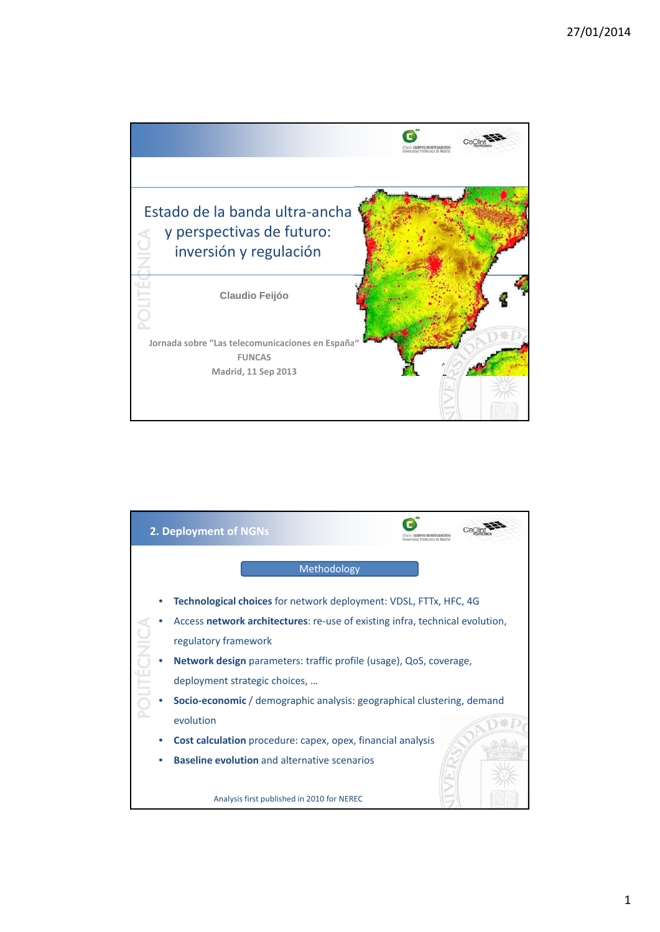

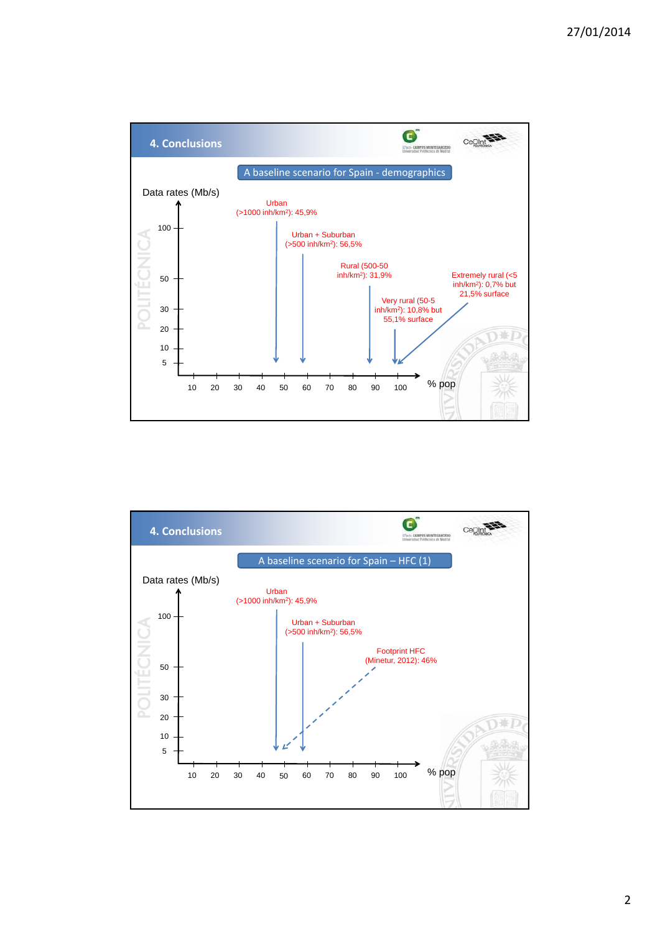

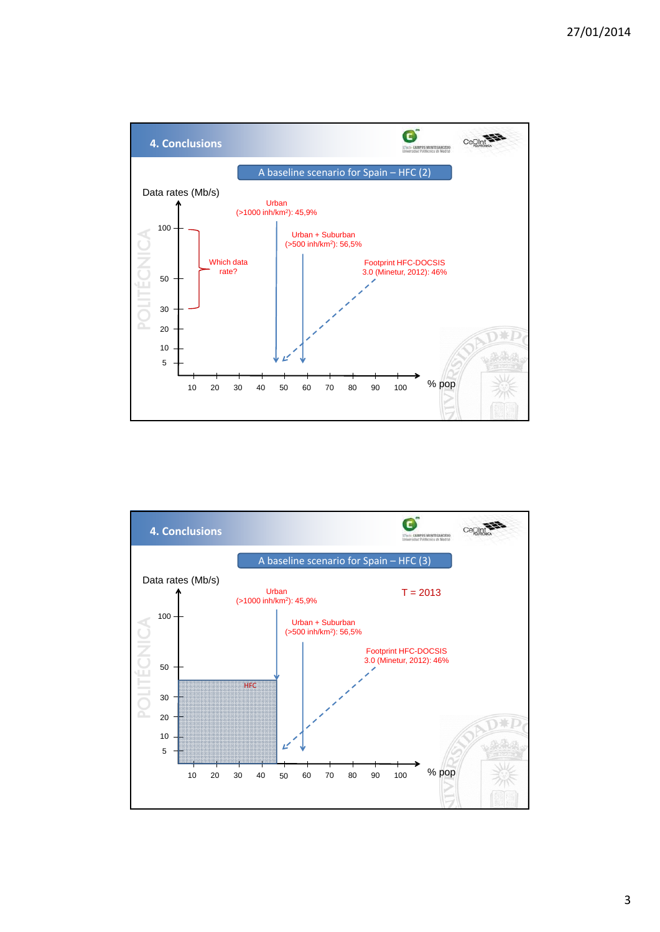

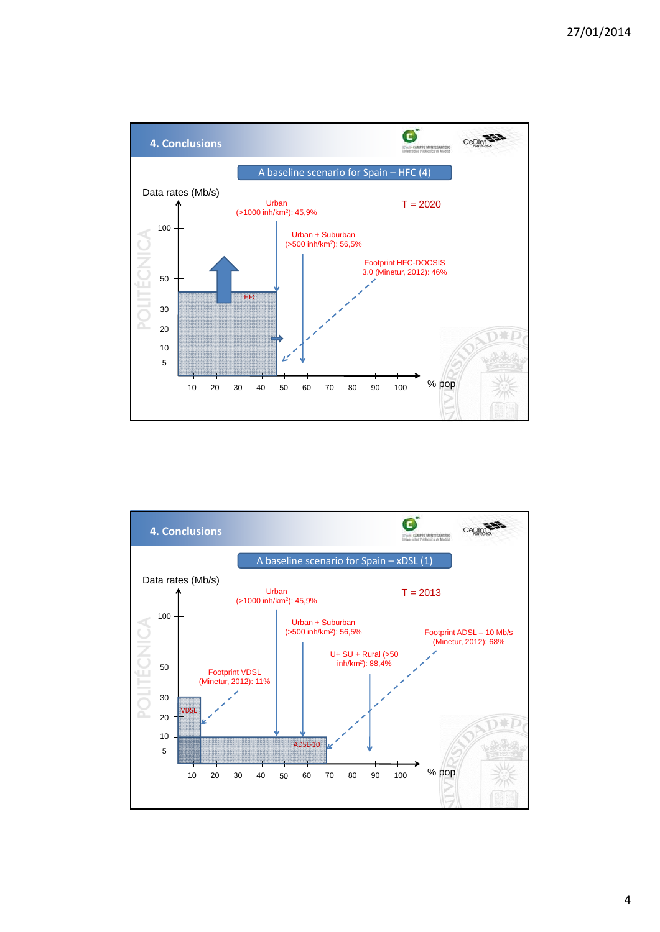

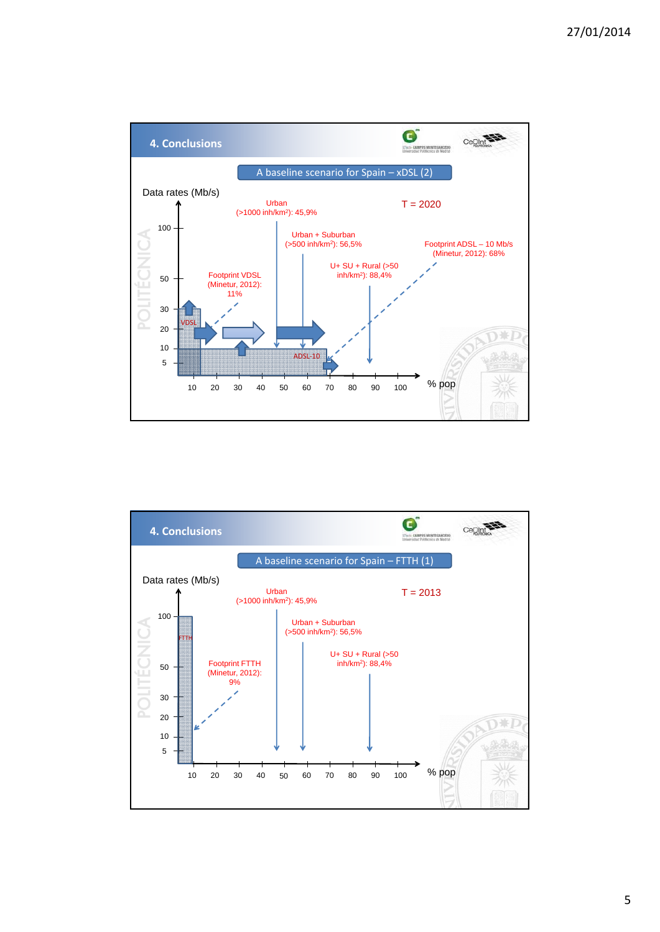



5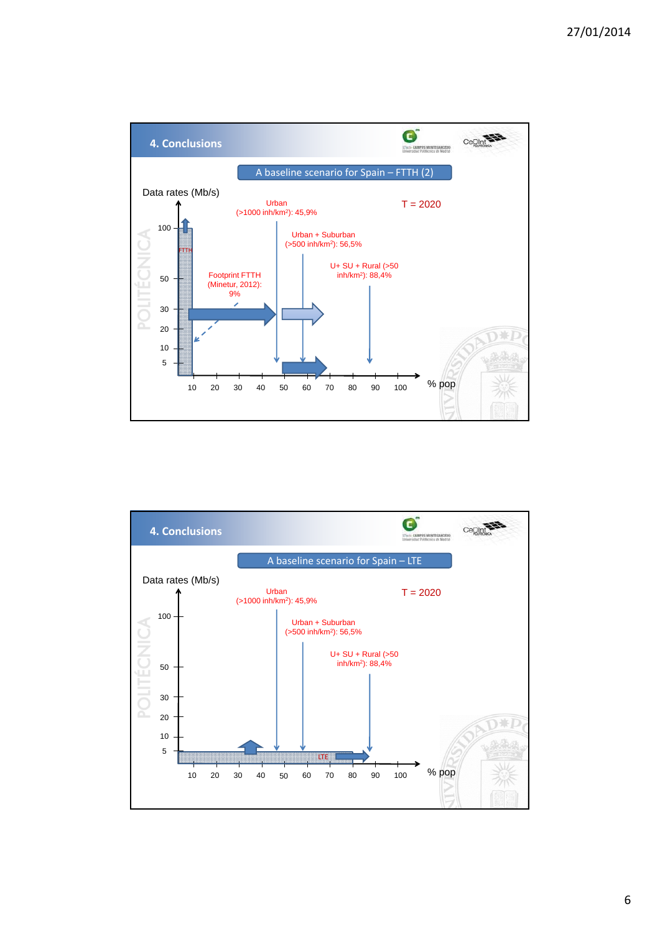

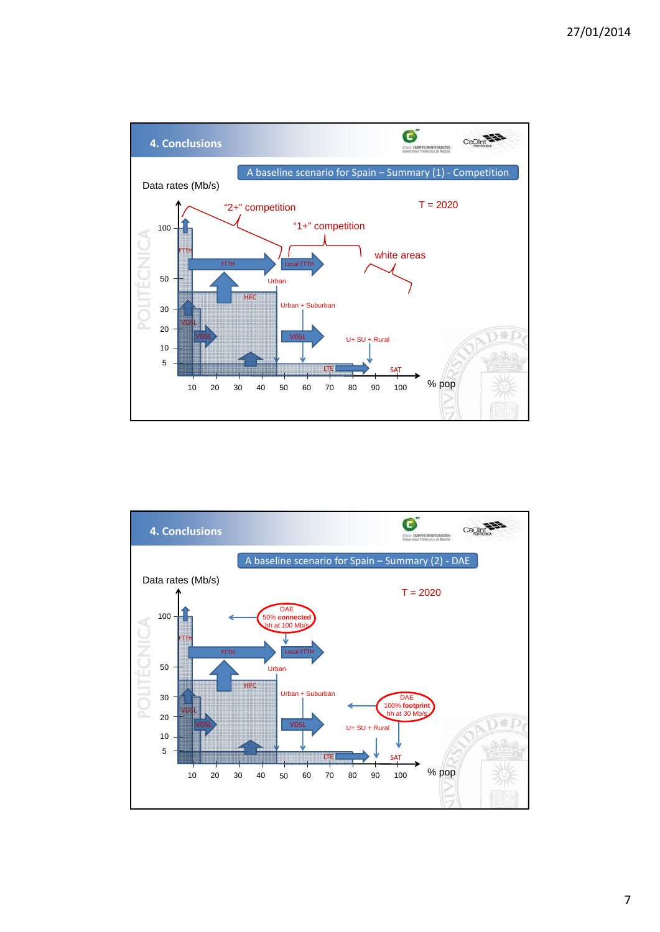